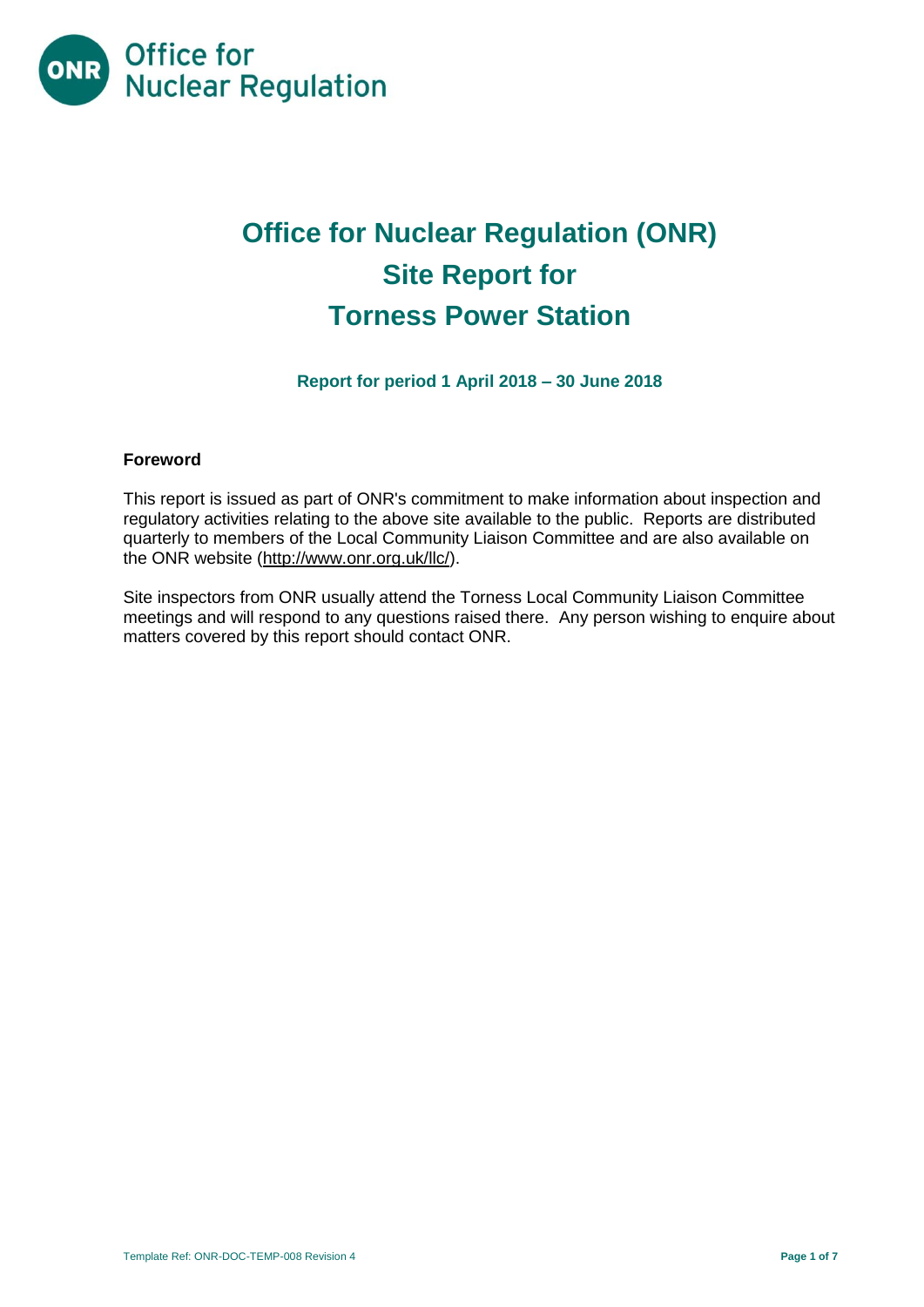

# **Office for Nuclear Regulation (ONR) Site Report for Torness Power Station**

**Report for period 1 April 2018 – 30 June 2018**

## **Foreword**

This report is issued as part of ONR's commitment to make information about inspection and regulatory activities relating to the above site available to the public. Reports are distributed quarterly to members of the Local Community Liaison Committee and are also available on the ONR website [\(http://www.onr.org.uk/llc/\)](http://www.onr.org.uk/llc/).

Site inspectors from ONR usually attend the Torness Local Community Liaison Committee meetings and will respond to any questions raised there. Any person wishing to enquire about matters covered by this report should contact ONR.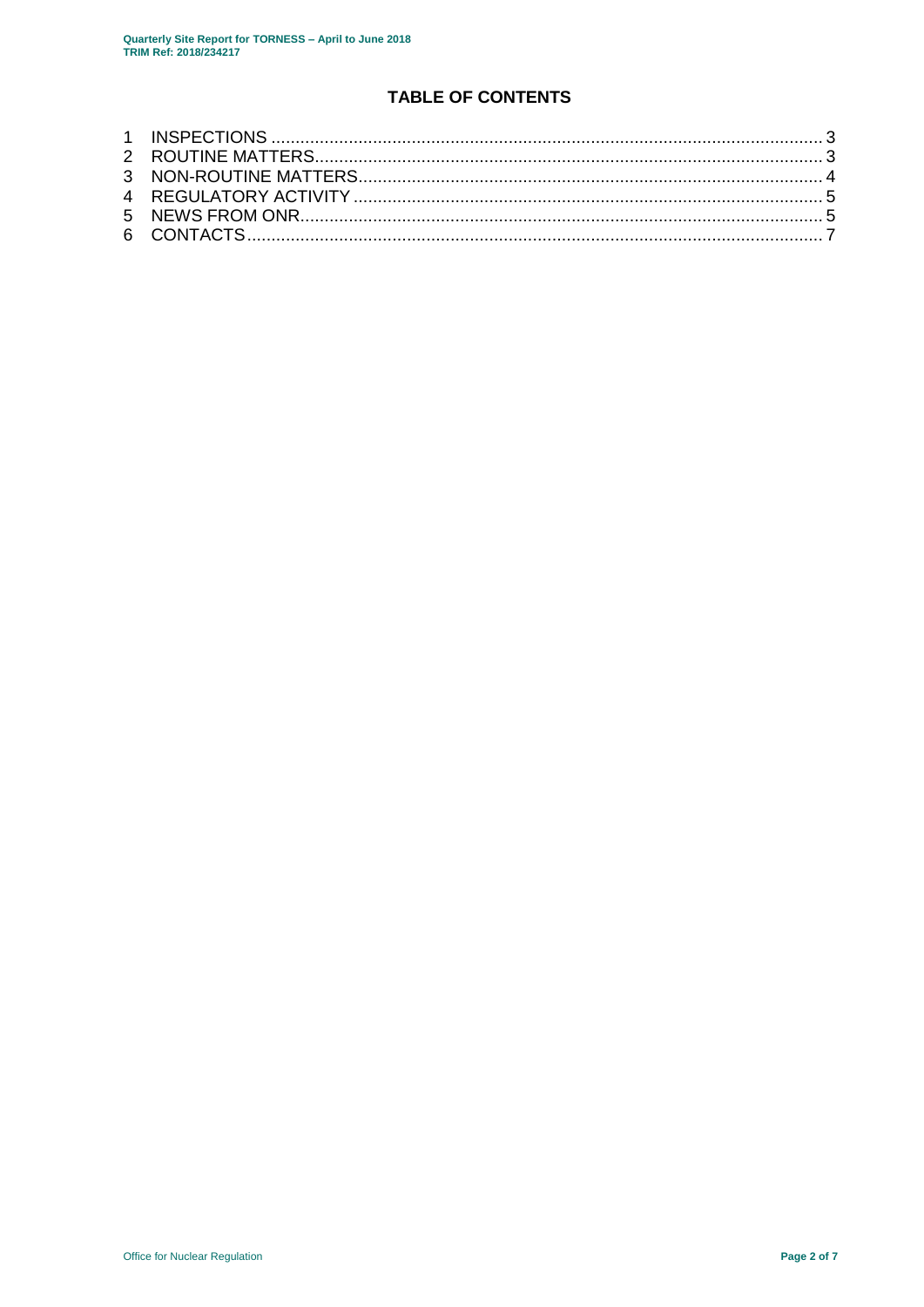## **TABLE OF CONTENTS**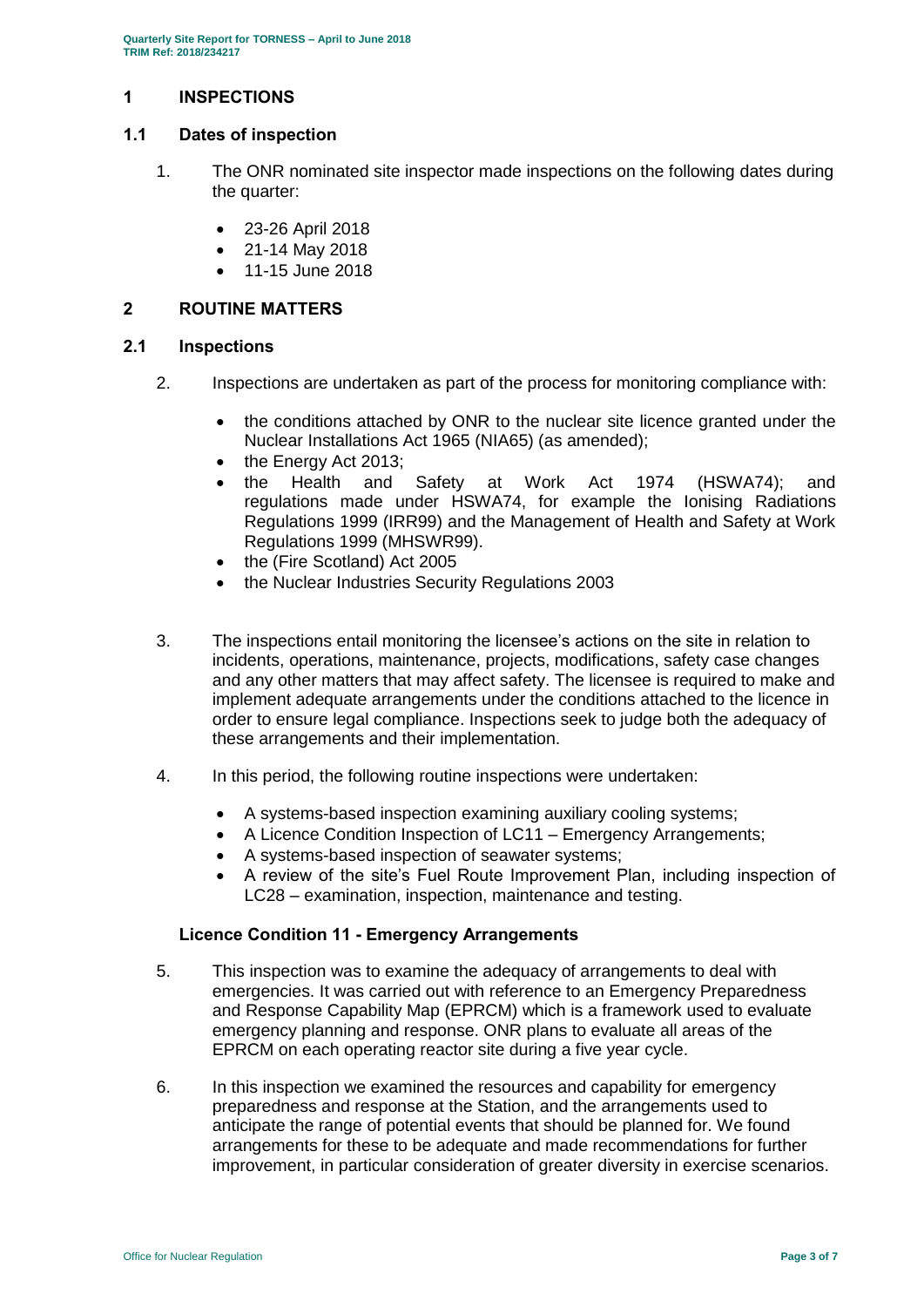## <span id="page-2-0"></span>**1 INSPECTIONS**

## **1.1 Dates of inspection**

- 1. The ONR nominated site inspector made inspections on the following dates during the quarter:
	- 23-26 April 2018
	- 21-14 May 2018
	- 11-15 June 2018

## <span id="page-2-1"></span>**2 ROUTINE MATTERS**

#### **2.1 Inspections**

- 2. Inspections are undertaken as part of the process for monitoring compliance with:
	- the conditions attached by ONR to the nuclear site licence granted under the Nuclear Installations Act 1965 (NIA65) (as amended);
	- the Energy Act 2013;
	- the Health and Safety at Work Act 1974 (HSWA74); and regulations made under HSWA74, for example the Ionising Radiations Regulations 1999 (IRR99) and the Management of Health and Safety at Work Regulations 1999 (MHSWR99).
	- the (Fire Scotland) Act 2005
	- the Nuclear Industries Security Regulations 2003
- 3. The inspections entail monitoring the licensee's actions on the site in relation to incidents, operations, maintenance, projects, modifications, safety case changes and any other matters that may affect safety. The licensee is required to make and implement adequate arrangements under the conditions attached to the licence in order to ensure legal compliance. Inspections seek to judge both the adequacy of these arrangements and their implementation.
- 4. In this period, the following routine inspections were undertaken:
	- A systems-based inspection examining auxiliary cooling systems;
	- A Licence Condition Inspection of LC11 Emergency Arrangements;
	- A systems-based inspection of seawater systems;
	- A review of the site's Fuel Route Improvement Plan, including inspection of LC28 – examination, inspection, maintenance and testing.

#### **Licence Condition 11 - Emergency Arrangements**

- 5. This inspection was to examine the adequacy of arrangements to deal with emergencies. It was carried out with reference to an Emergency Preparedness and Response Capability Map (EPRCM) which is a framework used to evaluate emergency planning and response. ONR plans to evaluate all areas of the EPRCM on each operating reactor site during a five year cycle.
- 6. In this inspection we examined the resources and capability for emergency preparedness and response at the Station, and the arrangements used to anticipate the range of potential events that should be planned for. We found arrangements for these to be adequate and made recommendations for further improvement, in particular consideration of greater diversity in exercise scenarios.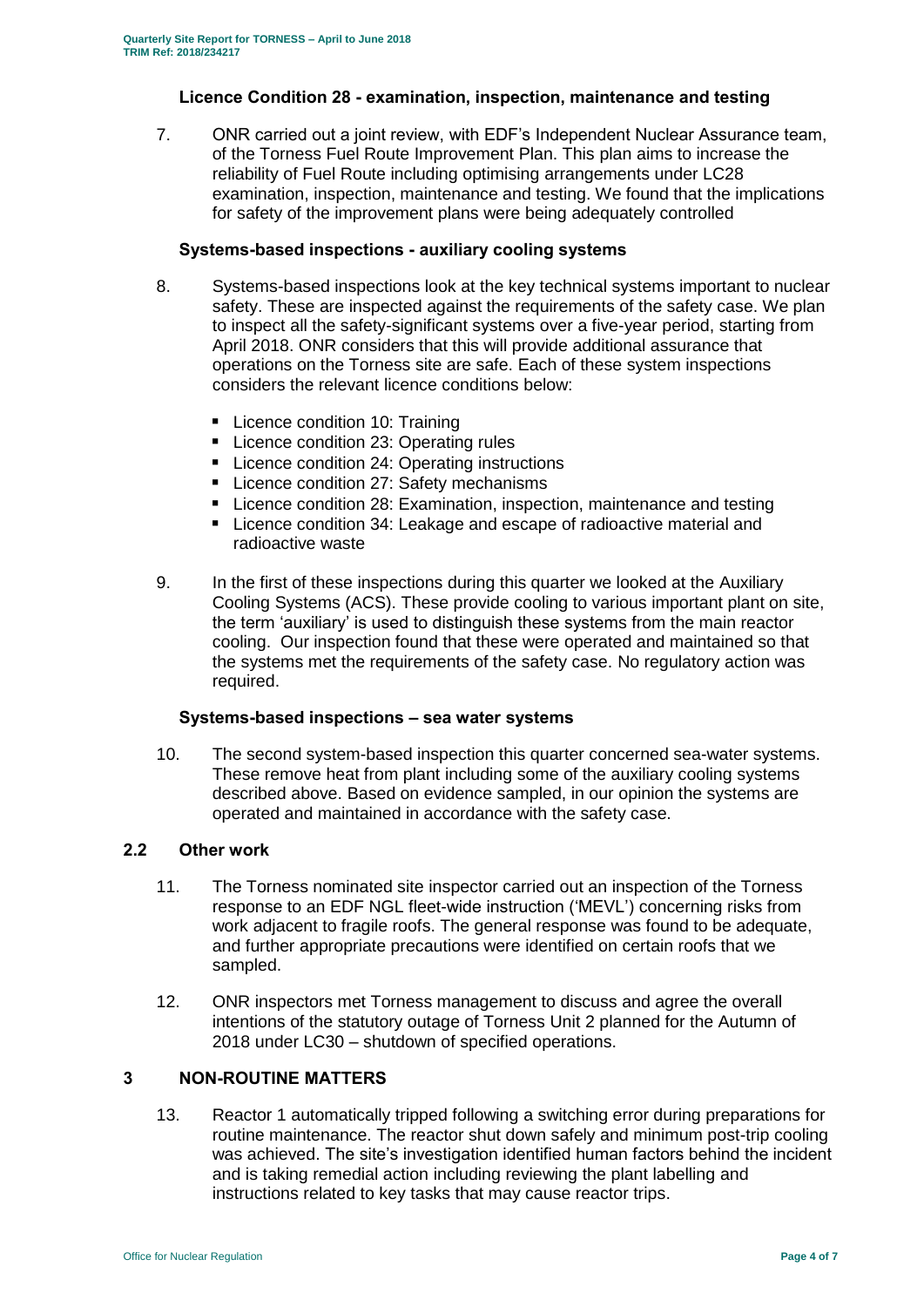## **Licence Condition 28 - examination, inspection, maintenance and testing**

7. ONR carried out a joint review, with EDF's Independent Nuclear Assurance team, of the Torness Fuel Route Improvement Plan. This plan aims to increase the reliability of Fuel Route including optimising arrangements under LC28 examination, inspection, maintenance and testing. We found that the implications for safety of the improvement plans were being adequately controlled

## **Systems-based inspections - auxiliary cooling systems**

- 8. Systems-based inspections look at the key technical systems important to nuclear safety. These are inspected against the requirements of the safety case. We plan to inspect all the safety-significant systems over a five-year period, starting from April 2018. ONR considers that this will provide additional assurance that operations on the Torness site are safe. Each of these system inspections considers the relevant licence conditions below:
	- **Licence condition 10: Training**
	- **Licence condition 23: Operating rules**
	- Licence condition 24: Operating instructions
	- Licence condition 27: Safety mechanisms
	- **E** Licence condition 28: Examination, inspection, maintenance and testing
	- Licence condition 34: Leakage and escape of radioactive material and radioactive waste
- 9. In the first of these inspections during this quarter we looked at the Auxiliary Cooling Systems (ACS). These provide cooling to various important plant on site, the term 'auxiliary' is used to distinguish these systems from the main reactor cooling. Our inspection found that these were operated and maintained so that the systems met the requirements of the safety case. No regulatory action was required.

#### **Systems-based inspections – sea water systems**

10. The second system-based inspection this quarter concerned sea-water systems. These remove heat from plant including some of the auxiliary cooling systems described above. Based on evidence sampled, in our opinion the systems are operated and maintained in accordance with the safety case.

#### **2.2 Other work**

- 11. The Torness nominated site inspector carried out an inspection of the Torness response to an EDF NGL fleet-wide instruction ('MEVL') concerning risks from work adjacent to fragile roofs. The general response was found to be adequate, and further appropriate precautions were identified on certain roofs that we sampled.
- 12. ONR inspectors met Torness management to discuss and agree the overall intentions of the statutory outage of Torness Unit 2 planned for the Autumn of 2018 under LC30 – shutdown of specified operations.

## <span id="page-3-0"></span>**3 NON-ROUTINE MATTERS**

13. Reactor 1 automatically tripped following a switching error during preparations for routine maintenance. The reactor shut down safely and minimum post-trip cooling was achieved. The site's investigation identified human factors behind the incident and is taking remedial action including reviewing the plant labelling and instructions related to key tasks that may cause reactor trips.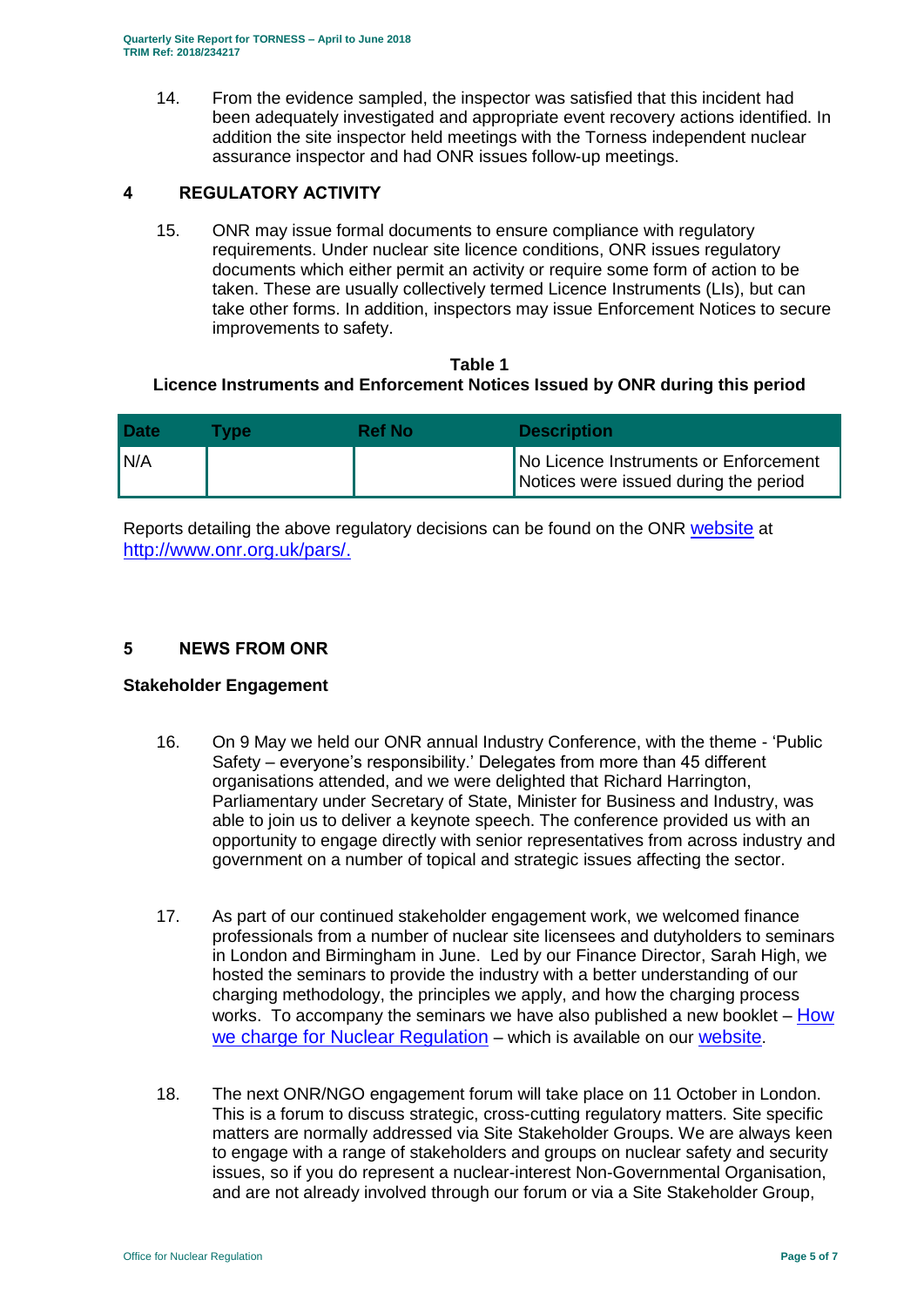14. From the evidence sampled, the inspector was satisfied that this incident had been adequately investigated and appropriate event recovery actions identified. In addition the site inspector held meetings with the Torness independent nuclear assurance inspector and had ONR issues follow-up meetings.

## <span id="page-4-0"></span>**4 REGULATORY ACTIVITY**

15. ONR may issue formal documents to ensure compliance with regulatory requirements. Under nuclear site licence conditions, ONR issues regulatory documents which either permit an activity or require some form of action to be taken. These are usually collectively termed Licence Instruments (LIs), but can take other forms. In addition, inspectors may issue Enforcement Notices to secure improvements to safety.

## **Table 1 Licence Instruments and Enforcement Notices Issued by ONR during this period**

| <b>Date</b> | <b>Tvpe</b> | <b>Ref No</b> | <b>Description</b>                                                             |
|-------------|-------------|---------------|--------------------------------------------------------------------------------|
| 'N/A        |             |               | No Licence Instruments or Enforcement<br>Notices were issued during the period |

Reports detailing the above regulatory decisions can be found on the ONR [website](http://www.onr.org.uk/documents/2018/how-we-charge-for-nuclear-regulation.pdf) at [http://www.onr.org.uk/pars/.](http://www.onr.org.uk/pars/)

## <span id="page-4-1"></span>**5 NEWS FROM ONR**

## **Stakeholder Engagement**

- 16. On 9 May we held our ONR annual Industry Conference, with the theme 'Public Safety – everyone's responsibility.' Delegates from more than 45 different organisations attended, and we were delighted that Richard Harrington, Parliamentary under Secretary of State, Minister for Business and Industry, was able to join us to deliver a keynote speech. The conference provided us with an opportunity to engage directly with senior representatives from across industry and government on a number of topical and strategic issues affecting the sector.
- 17. As part of our continued stakeholder engagement work, we welcomed finance professionals from a number of nuclear site licensees and dutyholders to seminars in London and Birmingham in June. Led by our Finance Director, Sarah High, we hosted the seminars to provide the industry with a better understanding of our charging methodology, the principles we apply, and how the charging process works. To accompany the seminars we have also published a new booklet – How [we charge for Nuclear Regulation](http://www.onr.org.uk/documents/2018/how-we-charge-for-nuclear-regulation.pdf) – which is available on our [website](http://www.onr.org.uk/documents/2018/how-we-charge-for-nuclear-regulation.pdf).
- 18. The next ONR/NGO engagement forum will take place on 11 October in London. This is a forum to discuss strategic, cross-cutting regulatory matters. Site specific matters are normally addressed via Site Stakeholder Groups. We are always keen to engage with a range of stakeholders and groups on nuclear safety and security issues, so if you do represent a nuclear-interest Non-Governmental Organisation, and are not already involved through our forum or via a Site Stakeholder Group,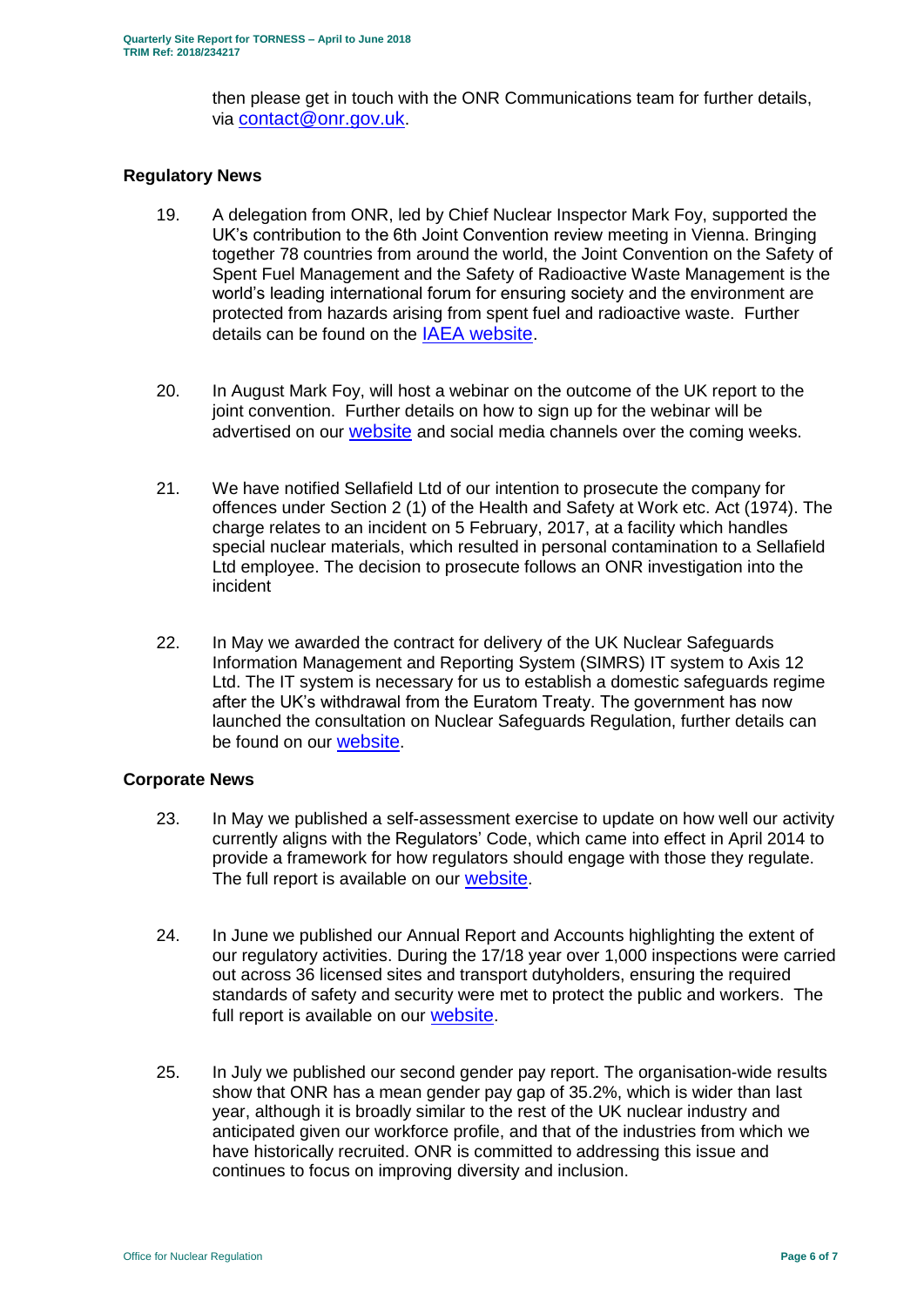then please get in touch with the ONR Communications team for further details, via [contact@onr.gov.uk](mailto:contact@onr.gov.uk).

## **Regulatory News**

- 19. A delegation from ONR, led by Chief Nuclear Inspector Mark Foy, supported the UK's contribution to the 6th Joint Convention review meeting in Vienna. Bringing together 78 countries from around the world, the Joint Convention on the Safety of Spent Fuel Management and the Safety of Radioactive Waste Management is the world's leading international forum for ensuring society and the environment are protected from hazards arising from spent fuel and radioactive waste. Further details can be found on the [IAEA website](https://www.iaea.org/events/sixth-review-meeting-of-the-contracting-parties-to-the-joint-convention-on-the-safety-of-spent-fuel-management-and-on-the-safety-of-radioactive-waste-management-joint-convention).
- 20. In August Mark Foy, will host a webinar on the outcome of the UK report to the joint convention. Further details on how to sign up for the webinar will be advertised on our [website](http://www.onr.org.uk/documents/2018/how-we-charge-for-nuclear-regulation.pdf) and social media channels over the coming weeks.
- 21. We have notified Sellafield Ltd of our intention to prosecute the company for offences under Section 2 (1) of the Health and Safety at Work etc. Act (1974). The charge relates to an incident on 5 February, 2017, at a facility which handles special nuclear materials, which resulted in personal contamination to a Sellafield Ltd employee. The decision to prosecute follows an ONR investigation into the incident
- 22. In May we awarded the contract for delivery of the UK Nuclear Safeguards Information Management and Reporting System (SIMRS) IT system to Axis 12 Ltd. The IT system is necessary for us to establish a domestic safeguards regime after the UK's withdrawal from the Euratom Treaty. The government has now launched the consultation on Nuclear Safeguards Regulation, further details can be found on our [website](http://www.onr.org.uk/documents/2018/how-we-charge-for-nuclear-regulation.pdf).

#### **Corporate News**

- 23. In May we published a self-assessment exercise to update on how well our activity currently aligns with the Regulators' Code, which came into effect in April 2014 to provide a framework for how regulators should engage with those they regulate. The full report is available on our [website](http://www.onr.org.uk/documents/2018/how-we-charge-for-nuclear-regulation.pdf).
- 24. In June we published our Annual Report and Accounts highlighting the extent of our regulatory activities. During the 17/18 year over 1,000 inspections were carried out across 36 licensed sites and transport dutyholders, ensuring the required standards of safety and security were met to protect the public and workers. The full report is available on our [website](http://www.onr.org.uk/documents/2018/how-we-charge-for-nuclear-regulation.pdf).
- 25. In July we published our second gender pay report. The organisation-wide results show that ONR has a mean gender pay gap of 35.2%, which is wider than last year, although it is broadly similar to the rest of the UK nuclear industry and anticipated given our workforce profile, and that of the industries from which we have historically recruited. ONR is committed to addressing this issue and continues to focus on improving diversity and inclusion.